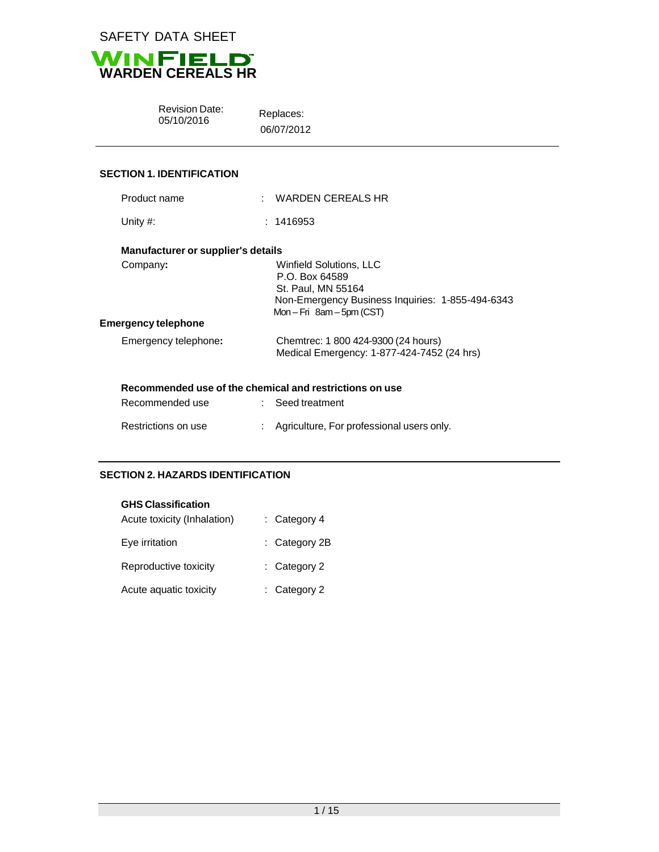



Revision Date: Replaces:<br>05/10/2016 Replaces:

06/07/2012

# **SECTION 1. IDENTIFICATION**

| Product name                                            | $:$ WARDEN CEREALS HR                                                                                                                            |
|---------------------------------------------------------|--------------------------------------------------------------------------------------------------------------------------------------------------|
| Unity $#$ :                                             | : 1416953                                                                                                                                        |
| Manufacturer or supplier's details                      |                                                                                                                                                  |
| Company:                                                | Winfield Solutions, LLC<br>P.O. Box 64589<br>St. Paul, MN 55164<br>Non-Emergency Business Inquiries: 1-855-494-6343<br>$Mon-Fri$ 8am - 5pm (CST) |
| Emergency telephone                                     |                                                                                                                                                  |
| Emergency telephone:                                    | Chemtrec: 1 800 424-9300 (24 hours)<br>Medical Emergency: 1-877-424-7452 (24 hrs)                                                                |
| Recommended use of the chemical and restrictions on use |                                                                                                                                                  |
| Recommended use                                         | $\therefore$ Seed treatment                                                                                                                      |
| Restrictions on use                                     | Agriculture, For professional users only.                                                                                                        |

#### **SECTION 2. HAZARDS IDENTIFICATION**

# **GHS Classification**

| Acute toxicity (Inhalation) | $:$ Category 4 |
|-----------------------------|----------------|
| Eye irritation              | : Category 2B  |
| Reproductive toxicity       | $:$ Category 2 |
| Acute aquatic toxicity      | $:$ Category 2 |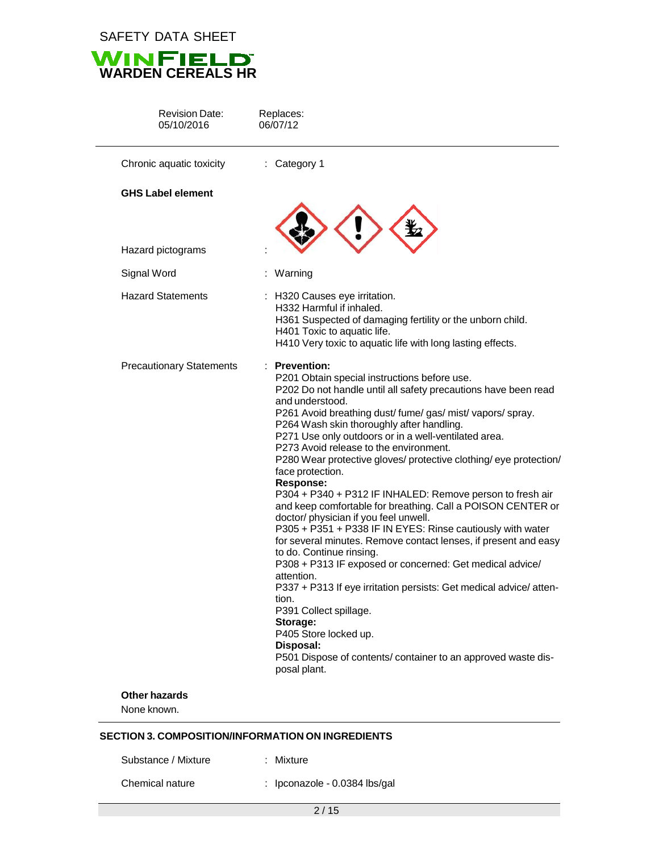SAFETY DATA SHEET



| <b>Revision Date:</b><br>05/10/2016 | Replaces:<br>06/07/12                                                                                                                                                                                                                                                                                                                                                                                                                                                                                                                                                                                                                                                                                                                                                                                                                                                                                                                                                                                                                                                                                                           |
|-------------------------------------|---------------------------------------------------------------------------------------------------------------------------------------------------------------------------------------------------------------------------------------------------------------------------------------------------------------------------------------------------------------------------------------------------------------------------------------------------------------------------------------------------------------------------------------------------------------------------------------------------------------------------------------------------------------------------------------------------------------------------------------------------------------------------------------------------------------------------------------------------------------------------------------------------------------------------------------------------------------------------------------------------------------------------------------------------------------------------------------------------------------------------------|
| Chronic aquatic toxicity            | : Category 1                                                                                                                                                                                                                                                                                                                                                                                                                                                                                                                                                                                                                                                                                                                                                                                                                                                                                                                                                                                                                                                                                                                    |
| <b>GHS Label element</b>            |                                                                                                                                                                                                                                                                                                                                                                                                                                                                                                                                                                                                                                                                                                                                                                                                                                                                                                                                                                                                                                                                                                                                 |
| Hazard pictograms                   |                                                                                                                                                                                                                                                                                                                                                                                                                                                                                                                                                                                                                                                                                                                                                                                                                                                                                                                                                                                                                                                                                                                                 |
| Signal Word                         | Warning                                                                                                                                                                                                                                                                                                                                                                                                                                                                                                                                                                                                                                                                                                                                                                                                                                                                                                                                                                                                                                                                                                                         |
| <b>Hazard Statements</b>            | : H320 Causes eye irritation.<br>H332 Harmful if inhaled.<br>H361 Suspected of damaging fertility or the unborn child.<br>H401 Toxic to aquatic life.<br>H410 Very toxic to aquatic life with long lasting effects.                                                                                                                                                                                                                                                                                                                                                                                                                                                                                                                                                                                                                                                                                                                                                                                                                                                                                                             |
| <b>Precautionary Statements</b>     | : Prevention:<br>P201 Obtain special instructions before use.<br>P202 Do not handle until all safety precautions have been read<br>and understood.<br>P261 Avoid breathing dust/fume/gas/mist/vapors/spray.<br>P264 Wash skin thoroughly after handling.<br>P271 Use only outdoors or in a well-ventilated area.<br>P273 Avoid release to the environment.<br>P280 Wear protective gloves/ protective clothing/ eye protection/<br>face protection.<br><b>Response:</b><br>P304 + P340 + P312 IF INHALED: Remove person to fresh air<br>and keep comfortable for breathing. Call a POISON CENTER or<br>doctor/ physician if you feel unwell.<br>P305 + P351 + P338 IF IN EYES: Rinse cautiously with water<br>for several minutes. Remove contact lenses, if present and easy<br>to do. Continue rinsing.<br>P308 + P313 IF exposed or concerned: Get medical advice/<br>attention.<br>P337 + P313 If eye irritation persists: Get medical advice/ atten-<br>tion.<br>P391 Collect spillage.<br>Storage:<br>P405 Store locked up.<br>Disposal:<br>P501 Dispose of contents/ container to an approved waste dis-<br>posal plant. |

None known.

# **SECTION 3. COMPOSITION/INFORMATION ON INGREDIENTS**

Substance / Mixture : Mixture

Chemical nature : Ipconazole - 0.0384 lbs/gal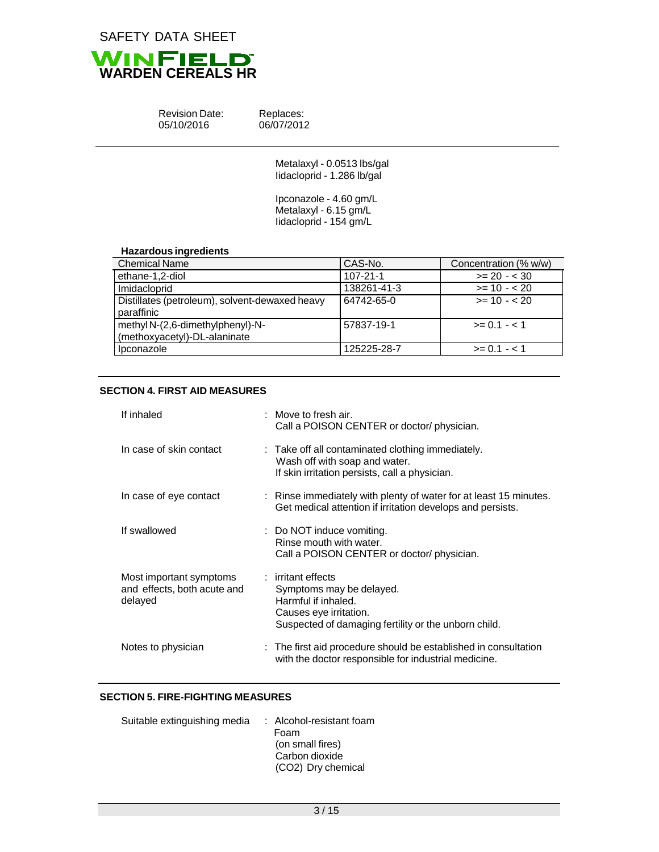

| <b>Revision Date:</b> |  |
|-----------------------|--|
| 05/10/2016            |  |

Replaces: 06/07/2012

| Metalaxyl - 0.0513 lbs/gal |
|----------------------------|
| lidacloprid - 1.286 lb/gal |

Ipconazole - 4.60 gm/L Metalaxyl - 6.15 gm/L Iidacloprid - 154 gm/L

## **Hazardous ingredients**

| <b>Chemical Name</b>                           | CAS-No.        | Concentration (% w/w) |
|------------------------------------------------|----------------|-----------------------|
| ethane-1,2-diol                                | $107 - 21 - 1$ | $>= 20 - < 30$        |
| Imidacloprid                                   | 138261-41-3    | $>= 10 - 20$          |
| Distillates (petroleum), solvent-dewaxed heavy | 64742-65-0     | $>= 10 - 20$          |
| paraffinic                                     |                |                       |
| methyl N-(2,6-dimethylphenyl)-N-               | 57837-19-1     | $>= 0.1 - 1.1$        |
| (methoxyacetyl)-DL-alaninate                   |                |                       |
| Ipconazole                                     | 125225-28-7    | $>= 0.1 - 1.1$        |

## **SECTION 4. FIRST AID MEASURES**

| If inhaled                                                        | $:$ Move to fresh air.<br>Call a POISON CENTER or doctor/ physician.                                                                                    |
|-------------------------------------------------------------------|---------------------------------------------------------------------------------------------------------------------------------------------------------|
| In case of skin contact                                           | : Take off all contaminated clothing immediately.<br>Wash off with soap and water.<br>If skin irritation persists, call a physician.                    |
| In case of eye contact                                            | : Rinse immediately with plenty of water for at least 15 minutes.<br>Get medical attention if irritation develops and persists.                         |
| If swallowed                                                      | : Do NOT induce vomiting.<br>Rinse mouth with water.<br>Call a POISON CENTER or doctor/ physician.                                                      |
| Most important symptoms<br>and effects, both acute and<br>delayed | : irritant effects<br>Symptoms may be delayed.<br>Harmful if inhaled.<br>Causes eye irritation.<br>Suspected of damaging fertility or the unborn child. |
| Notes to physician                                                | : The first aid procedure should be established in consultation<br>with the doctor responsible for industrial medicine.                                 |

#### **SECTION 5. FIRE-FIGHTING MEASURES**

| : Alcohol-resistant foam |
|--------------------------|
| Foam                     |
| (on small fires)         |
| Carbon dioxide           |
| (CO2) Dry chemical       |
|                          |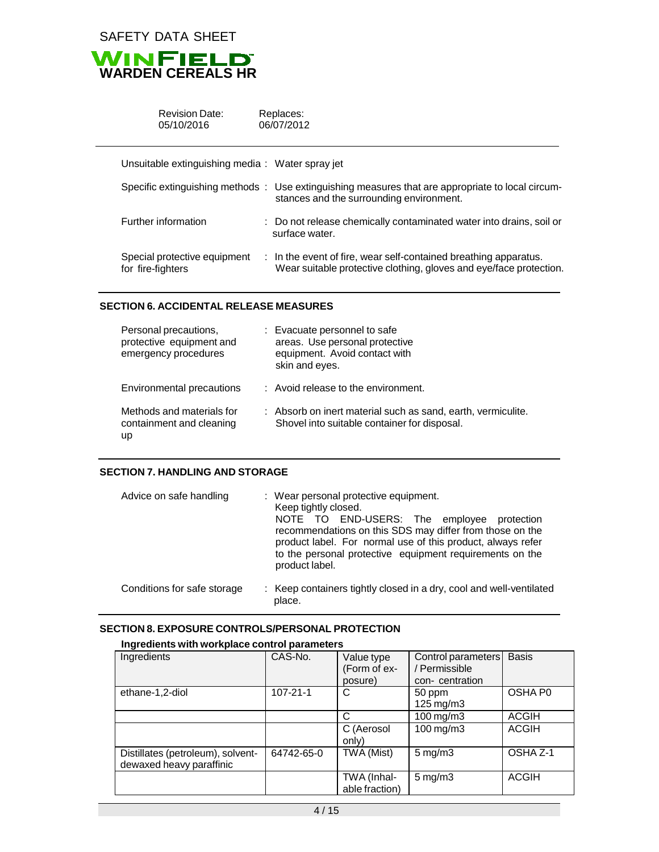

| <b>Revision Date:</b><br>05/10/2016               | Replaces:<br>06/07/2012 |                                                                                                                                               |
|---------------------------------------------------|-------------------------|-----------------------------------------------------------------------------------------------------------------------------------------------|
| Unsuitable extinguishing media: Water spray jet   |                         |                                                                                                                                               |
|                                                   |                         | Specific extinguishing methods : Use extinguishing measures that are appropriate to local circum-<br>stances and the surrounding environment. |
| Further information                               |                         | : Do not release chemically contaminated water into drains, soil or<br>surface water.                                                         |
| Special protective equipment<br>for fire-fighters |                         | : In the event of fire, wear self-contained breathing apparatus.<br>Wear suitable protective clothing, gloves and eye/face protection.        |

#### **SECTION 6. ACCIDENTAL RELEASE MEASURES**

| Personal precautions,<br>protective equipment and<br>emergency procedures | : Evacuate personnel to safe<br>areas. Use personal protective<br>equipment. Avoid contact with<br>skin and eyes. |
|---------------------------------------------------------------------------|-------------------------------------------------------------------------------------------------------------------|
| Environmental precautions                                                 | : Avoid release to the environment.                                                                               |
| Methods and materials for<br>containment and cleaning<br>up               | : Absorb on inert material such as sand, earth, vermiculite.<br>Shovel into suitable container for disposal.      |

#### **SECTION 7. HANDLING AND STORAGE**

| Advice on safe handling     | : Wear personal protective equipment.<br>Keep tightly closed.<br>NOTE TO END-USERS: The employee<br>protection<br>recommendations on this SDS may differ from those on the<br>product label. For normal use of this product, always refer<br>to the personal protective equipment requirements on the<br>product label. |
|-----------------------------|-------------------------------------------------------------------------------------------------------------------------------------------------------------------------------------------------------------------------------------------------------------------------------------------------------------------------|
| Conditions for safe storage | : Keep containers tightly closed in a dry, cool and well-ventilated<br>place.                                                                                                                                                                                                                                           |

## **SECTION 8. EXPOSURE CONTROLS/PERSONAL PROTECTION**

# **Ingredients with workplace control parameters**

| Ingredients                       | CAS-No.        | Value type     | Control parameters     | <b>Basis</b> |
|-----------------------------------|----------------|----------------|------------------------|--------------|
|                                   |                | (Form of ex-   | / Permissible          |              |
|                                   |                | posure)        | con-centration         |              |
| ethane-1,2-diol                   | $107 - 21 - 1$ | C              | 50 ppm                 | OSHA P0      |
|                                   |                |                | $125 \,\mathrm{mg/m3}$ |              |
|                                   |                | C              | 100 mg/m3              | <b>ACGIH</b> |
|                                   |                | C (Aerosol     | 100 mg/m3              | <b>ACGIH</b> |
|                                   |                | only)          |                        |              |
| Distillates (petroleum), solvent- | 64742-65-0     | TWA (Mist)     | $5 \text{ mg/m}$ 3     | OSHA Z-1     |
| dewaxed heavy paraffinic          |                |                |                        |              |
|                                   |                | TWA (Inhal-    | $5 \text{ mg/m}$ 3     | <b>ACGIH</b> |
|                                   |                | able fraction) |                        |              |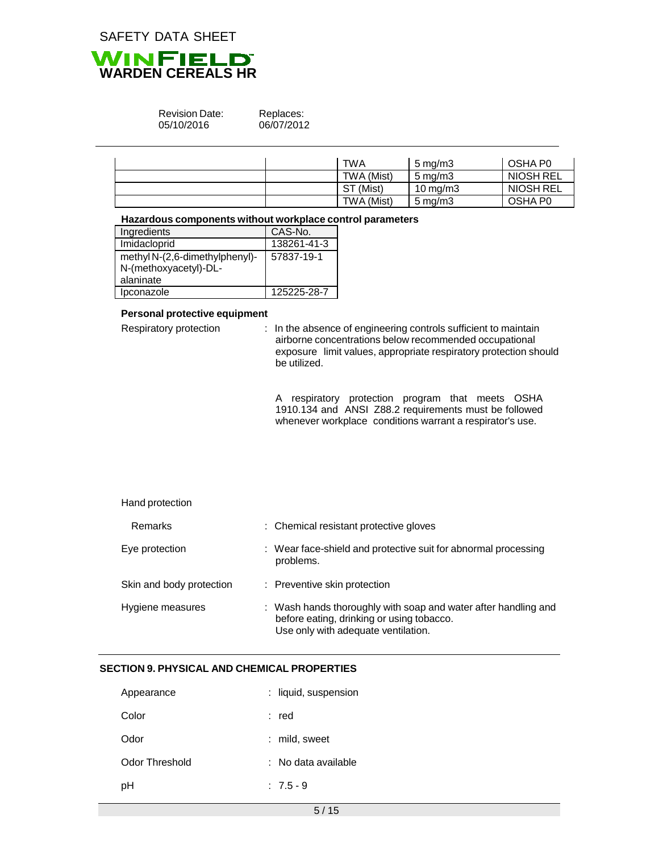

#### Revision Date: 05/10/2016

Replaces: 06/07/2012

|  | TWA        | $5 \,\mathrm{mq/m}$   | OSHA P0   |
|--|------------|-----------------------|-----------|
|  | TWA (Mist) | $5 \,\mathrm{mq/m}$ 3 | NIOSH REL |
|  | ST (Mist)  | 10 mg/m $3$           | NIOSH REL |
|  | TWA (Mist) | $5 \,\mathrm{mq/m}$ 3 | OSHA P0   |

#### **Hazardous components without workplace control parameters**

| Ingredients                    | CAS-No.     |
|--------------------------------|-------------|
| Imidacloprid                   | 138261-41-3 |
| methyl N-(2,6-dimethylphenyl)- | 57837-19-1  |
| N-(methoxyacetyl)-DL-          |             |
| alaninate                      |             |
| Ipconazole                     | 125225-28-7 |

## **Personal protective equipment**

Respiratory protection : In the absence of engineering controls sufficient to maintain airborne concentrations below recommended occupational exposure limit values, appropriate respiratory protection should be utilized.

> A respiratory protection program that meets OSHA 1910.134 and ANSI Z88.2 requirements must be followed whenever workplace conditions warrant a respirator's use.

#### Hand protection

| Remarks                  | : Chemical resistant protective gloves                                                                                                             |
|--------------------------|----------------------------------------------------------------------------------------------------------------------------------------------------|
| Eye protection           | : Wear face-shield and protective suit for abnormal processing<br>problems.                                                                        |
| Skin and body protection | : Preventive skin protection                                                                                                                       |
| Hygiene measures         | : Wash hands thoroughly with soap and water after handling and<br>before eating, drinking or using tobacco.<br>Use only with adequate ventilation. |

# **SECTION 9. PHYSICAL AND CHEMICAL PROPERTIES**

| Appearance     | : liquid, suspension |
|----------------|----------------------|
| Color          | : red                |
| Odor           | : mild, sweet        |
| Odor Threshold | : No data available  |
| рH             | $: 7.5 - 9$          |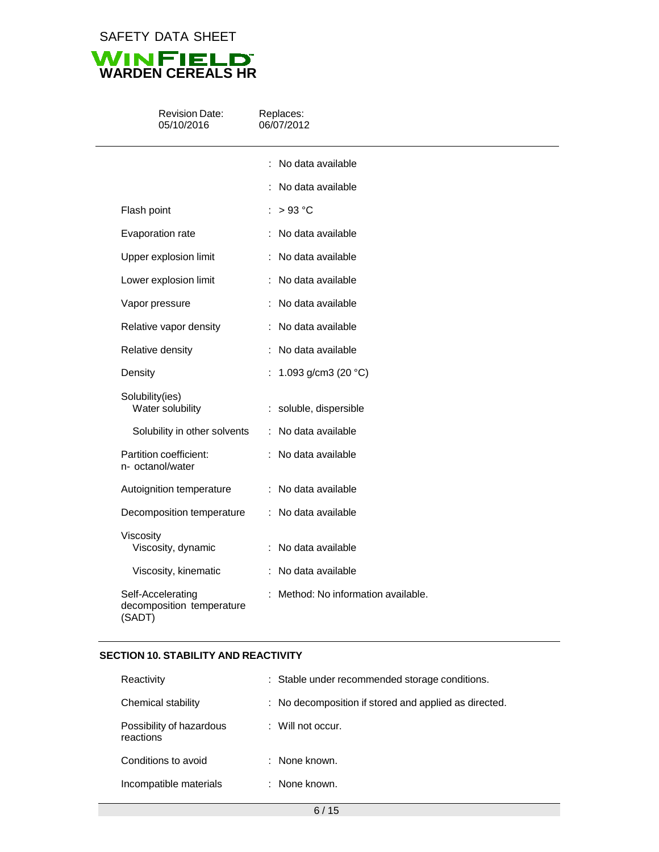SAFETY DATA SHEET



| <b>Revision Date:</b><br>05/10/2016                      | Replaces:<br>06/07/2012           |  |  |  |
|----------------------------------------------------------|-----------------------------------|--|--|--|
|                                                          | No data available                 |  |  |  |
|                                                          | No data available                 |  |  |  |
| Flash point                                              | >93 °C                            |  |  |  |
| Evaporation rate                                         | : No data available               |  |  |  |
| Upper explosion limit                                    | : No data available               |  |  |  |
| Lower explosion limit                                    | : No data available               |  |  |  |
| Vapor pressure                                           | : No data available               |  |  |  |
| Relative vapor density                                   | : No data available               |  |  |  |
| Relative density                                         | No data available                 |  |  |  |
| Density                                                  | : 1.093 g/cm3 (20 $^{\circ}$ C)   |  |  |  |
| Solubility(ies)<br>Water solubility                      | : soluble, dispersible            |  |  |  |
| Solubility in other solvents                             | : No data available               |  |  |  |
| Partition coefficient:<br>n- octanol/water               | : No data available               |  |  |  |
| Autoignition temperature                                 | : No data available               |  |  |  |
| Decomposition temperature                                | : No data available               |  |  |  |
| Viscosity<br>Viscosity, dynamic                          | : No data available               |  |  |  |
| Viscosity, kinematic                                     | : No data available               |  |  |  |
| Self-Accelerating<br>decomposition temperature<br>(SADT) | Method: No information available. |  |  |  |

# **SECTION 10. STABILITY AND REACTIVITY**

| Reactivity                            | : Stable under recommended storage conditions.        |
|---------------------------------------|-------------------------------------------------------|
| Chemical stability                    | : No decomposition if stored and applied as directed. |
| Possibility of hazardous<br>reactions | $\therefore$ Will not occur.                          |
| Conditions to avoid                   | : None known.                                         |
| Incompatible materials                | : None known.                                         |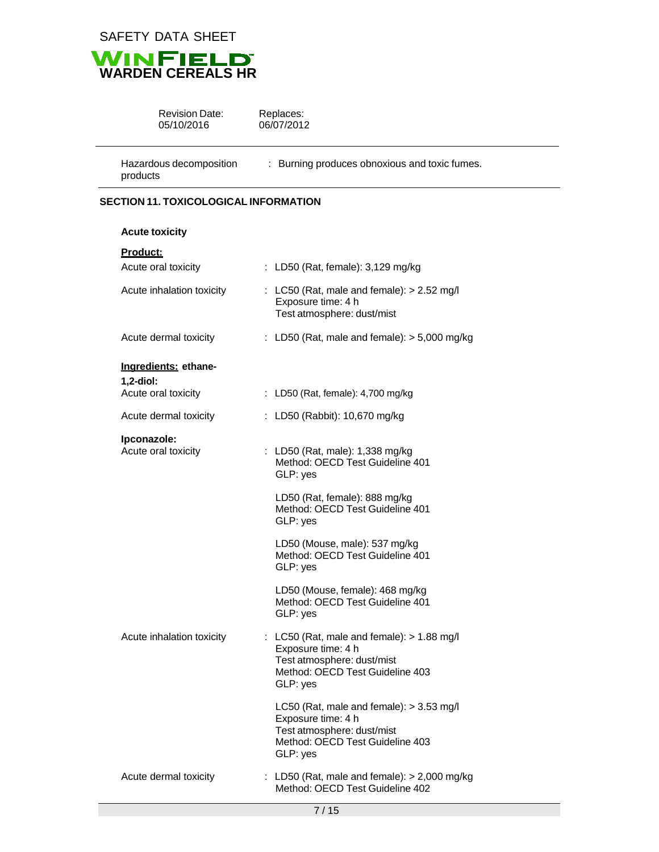

products



| <b>Revision Date:</b>   | Replaces:                                     |
|-------------------------|-----------------------------------------------|
| 05/10/2016              | 06/07/2012                                    |
| Hazardous decomposition | : Burning produces obnoxious and toxic fumes. |

## **SECTION 11. TOXICOLOGICAL INFORMATION**

| <b>Acute toxicity</b>              |                                                                                                                                                 |
|------------------------------------|-------------------------------------------------------------------------------------------------------------------------------------------------|
| Product:<br>Acute oral toxicity    | : LD50 (Rat, female): 3,129 mg/kg                                                                                                               |
| Acute inhalation toxicity          | : LC50 (Rat, male and female): $> 2.52$ mg/l<br>Exposure time: 4 h<br>Test atmosphere: dust/mist                                                |
| Acute dermal toxicity              | : LD50 (Rat, male and female): $>$ 5,000 mg/kg                                                                                                  |
| Ingredients: ethane-<br>1,2-diol:  |                                                                                                                                                 |
| Acute oral toxicity                | : LD50 (Rat, female): 4,700 mg/kg                                                                                                               |
| Acute dermal toxicity              | : LD50 (Rabbit): 10,670 mg/kg                                                                                                                   |
| Ipconazole:<br>Acute oral toxicity | : LD50 (Rat, male): 1,338 mg/kg<br>Method: OECD Test Guideline 401<br>GLP: yes                                                                  |
|                                    | LD50 (Rat, female): 888 mg/kg<br>Method: OECD Test Guideline 401<br>GLP: yes                                                                    |
|                                    | LD50 (Mouse, male): 537 mg/kg<br>Method: OECD Test Guideline 401<br>GLP: yes                                                                    |
|                                    | LD50 (Mouse, female): 468 mg/kg<br>Method: OECD Test Guideline 401<br>GLP: yes                                                                  |
| Acute inhalation toxicity          | : LC50 (Rat, male and female): $> 1.88$ mg/l<br>Exposure time: 4 h<br>Test atmosphere: dust/mist<br>Method: OECD Test Guideline 403<br>GLP: yes |
|                                    | LC50 (Rat, male and female): $>$ 3.53 mg/l<br>Exposure time: 4 h<br>Test atmosphere: dust/mist<br>Method: OECD Test Guideline 403<br>GLP: yes   |
| Acute dermal toxicity              | : LD50 (Rat, male and female): $> 2,000$ mg/kg<br>Method: OECD Test Guideline 402                                                               |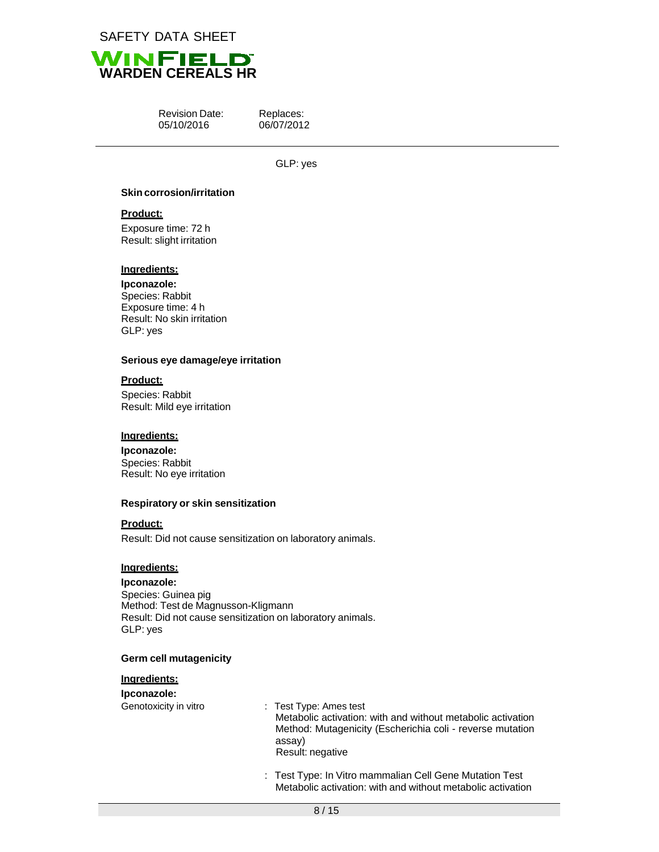



Revision Date: 05/10/2016

Replaces: 06/07/2012

GLP: yes

#### **Skincorrosion/irritation**

#### **Product:**

Exposure time: 72 h Result: slight irritation

## **Ingredients:**

# **Ipconazole:**

Species: Rabbit Exposure time: 4 h Result: No skin irritation GLP: yes

#### **Serious eye damage/eye irritation**

## **Product:**

Species: Rabbit Result: Mild eye irritation

#### **Ingredients:**

**Ipconazole:** Species: Rabbit Result: No eye irritation

#### **Respiratory or skin sensitization**

#### **Product:**

Result: Did not cause sensitization on laboratory animals.

## **Ingredients:**

**Ipconazole:** Species: Guinea pig Method: Test de Magnusson-Kligmann Result: Did not cause sensitization on laboratory animals. GLP: yes

#### **Germ cell mutagenicity**

# **Ingredients:**

#### **Ipconazole:**

: Test Type: Ames test Metabolic activation: with and without metabolic activation Method: Mutagenicity (Escherichia coli - reverse mutation assay) Result: negative

: Test Type: In Vitro mammalian Cell Gene Mutation Test Metabolic activation: with and without metabolic activation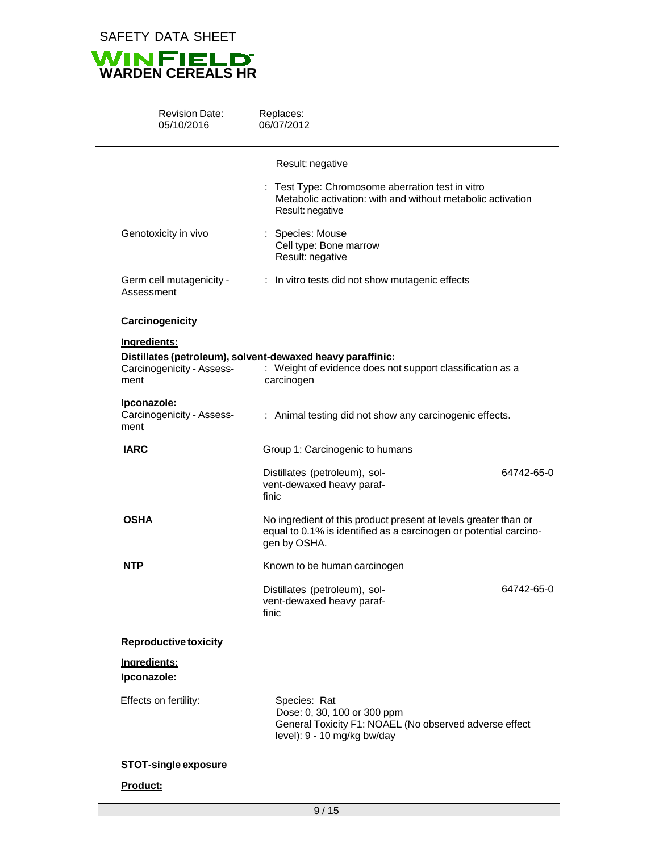

| <b>Revision Date:</b><br>05/10/2016               | Replaces:<br>06/07/2012                                                                                                                              |            |
|---------------------------------------------------|------------------------------------------------------------------------------------------------------------------------------------------------------|------------|
|                                                   | Result: negative                                                                                                                                     |            |
|                                                   | Test Type: Chromosome aberration test in vitro<br>Metabolic activation: with and without metabolic activation<br>Result: negative                    |            |
| Genotoxicity in vivo                              | : Species: Mouse<br>Cell type: Bone marrow<br>Result: negative                                                                                       |            |
| Germ cell mutagenicity -<br>Assessment            | : In vitro tests did not show mutagenic effects                                                                                                      |            |
| Carcinogenicity                                   |                                                                                                                                                      |            |
| Ingredients:<br>Carcinogenicity - Assess-<br>ment | Distillates (petroleum), solvent-dewaxed heavy paraffinic:<br>: Weight of evidence does not support classification as a<br>carcinogen                |            |
| Ipconazole:<br>Carcinogenicity - Assess-<br>ment  | : Animal testing did not show any carcinogenic effects.                                                                                              |            |
| <b>IARC</b>                                       | Group 1: Carcinogenic to humans                                                                                                                      |            |
|                                                   | Distillates (petroleum), sol-<br>vent-dewaxed heavy paraf-<br>finic                                                                                  | 64742-65-0 |
| <b>OSHA</b>                                       | No ingredient of this product present at levels greater than or<br>equal to 0.1% is identified as a carcinogen or potential carcino-<br>gen by OSHA. |            |
| <b>NTP</b>                                        | Known to be human carcinogen                                                                                                                         |            |
|                                                   | Distillates (petroleum), sol-<br>vent-dewaxed heavy paraf-<br>finic                                                                                  | 64742-65-0 |
| <b>Reproductive toxicity</b>                      |                                                                                                                                                      |            |
| Ingredients:<br>Ipconazole:                       |                                                                                                                                                      |            |
| Effects on fertility:                             | Species: Rat<br>Dose: 0, 30, 100 or 300 ppm<br>General Toxicity F1: NOAEL (No observed adverse effect<br>level): 9 - 10 mg/kg bw/day                 |            |
| <b>STOT-single exposure</b>                       |                                                                                                                                                      |            |
| Product:                                          |                                                                                                                                                      |            |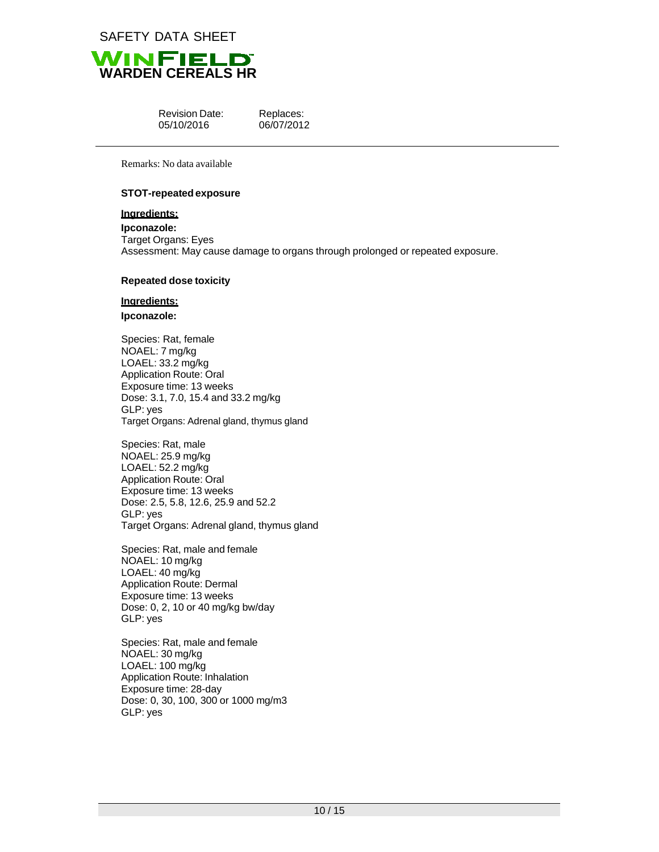



| <b>Revision Date:</b> |
|-----------------------|
| 05/10/2016            |

Replaces: 06/07/2012

Remarks: No data available

#### **STOT-repeatedexposure**

## **Ingredients:**

**Ipconazole:** Target Organs: Eyes Assessment: May cause damage to organs through prolonged or repeated exposure.

#### **Repeated dose toxicity**

## **Ingredients:**

#### **Ipconazole:**

Species: Rat, female NOAEL: 7 mg/kg LOAEL: 33.2 mg/kg Application Route: Oral Exposure time: 13 weeks Dose: 3.1, 7.0, 15.4 and 33.2 mg/kg GLP: yes Target Organs: Adrenal gland, thymus gland

Species: Rat, male NOAEL: 25.9 mg/kg LOAEL: 52.2 mg/kg Application Route: Oral Exposure time: 13 weeks Dose: 2.5, 5.8, 12.6, 25.9 and 52.2 GLP: yes Target Organs: Adrenal gland, thymus gland

Species: Rat, male and female NOAEL: 10 mg/kg LOAEL: 40 mg/kg Application Route: Dermal Exposure time: 13 weeks Dose: 0, 2, 10 or 40 mg/kg bw/day GLP: yes

Species: Rat, male and female NOAEL: 30 mg/kg LOAEL: 100 mg/kg Application Route: Inhalation Exposure time: 28-day Dose: 0, 30, 100, 300 or 1000 mg/m3 GLP: yes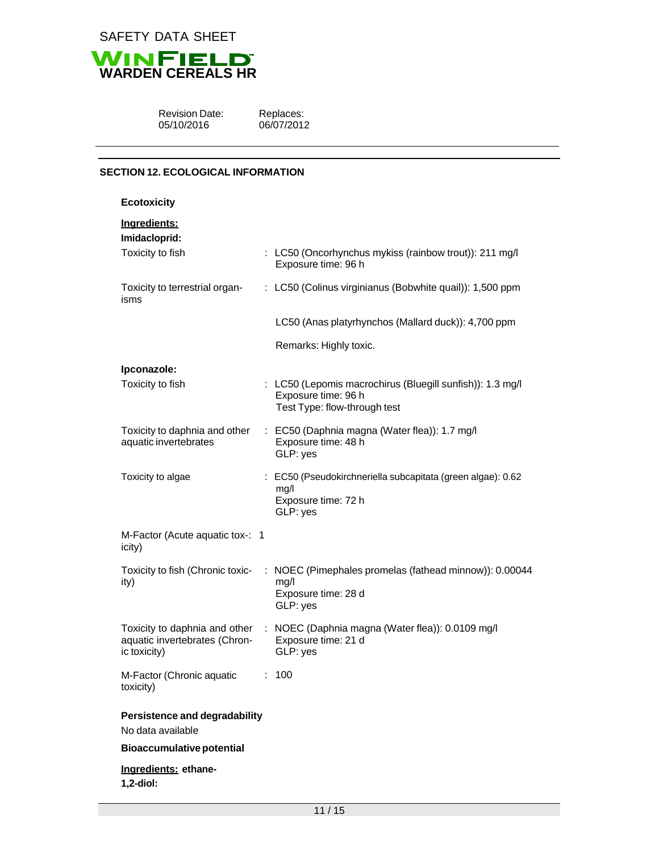



Revision Date: 05/10/2016

Replaces: 06/07/2012

# **SECTION 12. ECOLOGICAL INFORMATION**

| <b>Ecotoxicity</b>                                                             |                                                                                                                  |
|--------------------------------------------------------------------------------|------------------------------------------------------------------------------------------------------------------|
| Ingredients:<br>Imidacloprid:                                                  |                                                                                                                  |
| Toxicity to fish                                                               | : LC50 (Oncorhynchus mykiss (rainbow trout)): 211 mg/l<br>Exposure time: 96 h                                    |
| Toxicity to terrestrial organ-<br>isms                                         | : LC50 (Colinus virginianus (Bobwhite quail)): 1,500 ppm                                                         |
|                                                                                | LC50 (Anas platyrhynchos (Mallard duck)): 4,700 ppm                                                              |
|                                                                                | Remarks: Highly toxic.                                                                                           |
| Ipconazole:                                                                    |                                                                                                                  |
| Toxicity to fish                                                               | : LC50 (Lepomis macrochirus (Bluegill sunfish)): 1.3 mg/l<br>Exposure time: 96 h<br>Test Type: flow-through test |
| Toxicity to daphnia and other<br>aquatic invertebrates                         | : EC50 (Daphnia magna (Water flea)): 1.7 mg/l<br>Exposure time: 48 h<br>GLP: yes                                 |
| Toxicity to algae                                                              | : EC50 (Pseudokirchneriella subcapitata (green algae): 0.62<br>mg/l<br>Exposure time: 72 h<br>GLP: yes           |
| M-Factor (Acute aquatic tox-: 1<br>icity)                                      |                                                                                                                  |
| Toxicity to fish (Chronic toxic-<br>ity)                                       | : NOEC (Pimephales promelas (fathead minnow)): 0.00044<br>mg/l<br>Exposure time: 28 d<br>GLP: yes                |
| Toxicity to daphnia and other<br>aquatic invertebrates (Chron-<br>ic toxicity) | : NOEC (Daphnia magna (Water flea)): 0.0109 mg/l<br>Exposure time: 21 d<br>GLP: yes                              |
| M-Factor (Chronic aquatic<br>toxicity)                                         | 100                                                                                                              |
| <b>Persistence and degradability</b><br>No data available                      |                                                                                                                  |
| <b>Bioaccumulative potential</b>                                               |                                                                                                                  |
| Ingredients: ethane-<br>1,2-diol:                                              |                                                                                                                  |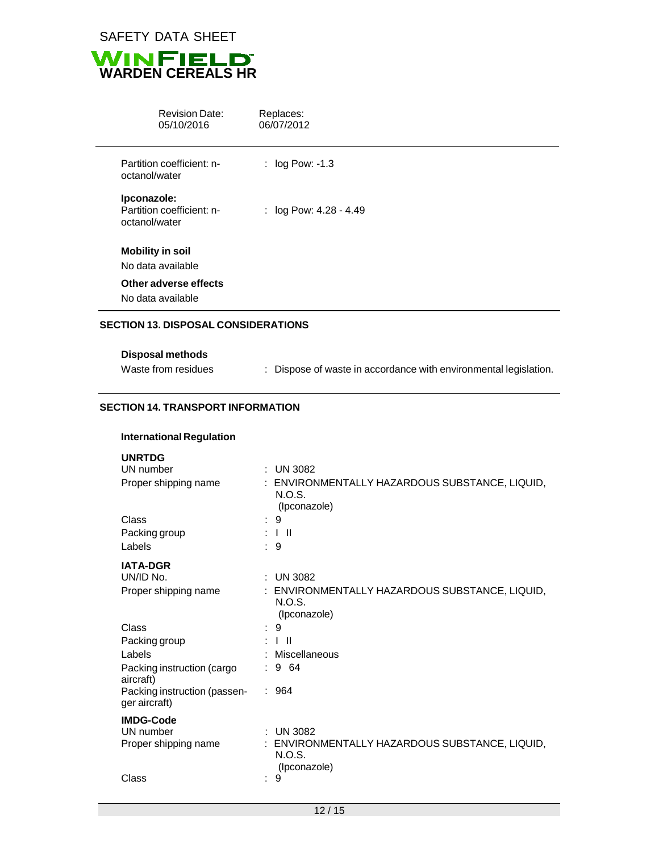



| <b>Revision Date:</b><br>05/10/2016                       | Replaces:<br>06/07/2012  |
|-----------------------------------------------------------|--------------------------|
| Partition coefficient: n-<br>octanol/water                | : $log Pow: -1.3$        |
| Ipconazole:<br>Partition coefficient: n-<br>octanol/water | : $log Pow: 4.28 - 4.49$ |
| <b>Mobility in soil</b>                                   |                          |
| No data available                                         |                          |
| Other adverse effects                                     |                          |
| No data available                                         |                          |

Waste from residues : Dispose of waste in accordance with environmental legislation.

#### **SECTION 14. TRANSPORT INFORMATION**

|  |  | <b>UNRTDG</b> |  |  |  |
|--|--|---------------|--|--|--|
|--|--|---------------|--|--|--|

| UN number                                     | ÷ | UN 3082                                                |
|-----------------------------------------------|---|--------------------------------------------------------|
| Proper shipping name                          |   | ENVIRONMENTALLY HAZARDOUS SUBSTANCE, LIQUID,<br>N.O.S. |
|                                               |   | (Ipconazole)                                           |
| Class                                         |   | 9                                                      |
| Packing group                                 |   | $\perp$                                                |
| Labels                                        |   | $\therefore$ 9                                         |
| <b>IATA-DGR</b>                               |   |                                                        |
| UN/ID No.                                     | ÷ | <b>UN 3082</b>                                         |
| Proper shipping name                          |   | ENVIRONMENTALLY HAZARDOUS SUBSTANCE, LIQUID,           |
|                                               |   | N.O.S.                                                 |
|                                               |   | (Ipconazole)                                           |
| Class                                         |   | 9                                                      |
| Packing group                                 |   | $\perp$ II                                             |
| Labels                                        |   | Miscellaneous                                          |
| Packing instruction (cargo<br>aircraft)       |   | : 964                                                  |
| Packing instruction (passen-<br>ger aircraft) |   | : 964                                                  |
| <b>IMDG-Code</b>                              |   |                                                        |
| UN number                                     |   | <b>UN 3082</b>                                         |
| Proper shipping name                          |   | ENVIRONMENTALLY HAZARDOUS SUBSTANCE, LIQUID,           |
|                                               |   | N.O.S.<br>(Ipconazole)                                 |
| Class                                         | ٠ | 9                                                      |
|                                               |   |                                                        |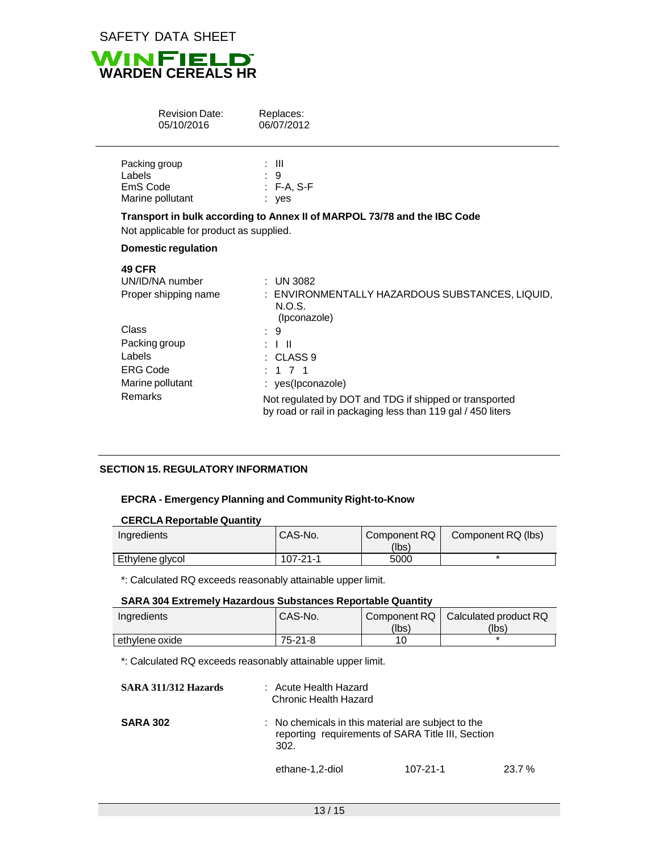

| <b>Revision Date:</b><br>05/10/2016                                                                                                            | Replaces:<br>06/07/2012                                                                                                                                                                                                                                                                       |
|------------------------------------------------------------------------------------------------------------------------------------------------|-----------------------------------------------------------------------------------------------------------------------------------------------------------------------------------------------------------------------------------------------------------------------------------------------|
| Packing group<br>Labels<br>EmS Code<br>Marine pollutant                                                                                        | : III<br>$\therefore$ 9<br>$:$ F-A, S-F<br>: yes                                                                                                                                                                                                                                              |
| Not applicable for product as supplied.                                                                                                        | Transport in bulk according to Annex II of MARPOL 73/78 and the IBC Code                                                                                                                                                                                                                      |
| <b>Domestic regulation</b>                                                                                                                     |                                                                                                                                                                                                                                                                                               |
| <b>49 CFR</b><br>UN/ID/NA number<br>Proper shipping name<br>Class<br>Packing group<br>Labels<br><b>ERG Code</b><br>Marine pollutant<br>Remarks | : UN 3082<br>: ENVIRONMENTALLY HAZARDOUS SUBSTANCES, LIQUID,<br>N.O.S.<br>(Ipconazole)<br>9<br>$\pm$ 1 H<br>$\therefore$ CLASS 9<br>$1 \t7 \t1$<br>: yes(lpconazole)<br>Not regulated by DOT and TDG if shipped or transported<br>by road or rail in packaging less than 119 gal / 450 liters |

## **SECTION 15. REGULATORY INFORMATION**

#### **EPCRA - Emergency Planning and Community Right-to-Know**

## **CERCLA Reportable Quantity**

| Ingredients     | CAS-No.  | Component RQ<br>(Ibs) | Component RQ (lbs) |
|-----------------|----------|-----------------------|--------------------|
| Ethylene glycol | 107-21-1 | 5000                  |                    |

\*: Calculated RQ exceeds reasonably attainable upper limit.

## **SARA 304 Extremely Hazardous Substances Reportable Quantity**

| Ingredients    | CAS-No.   |       | Component RQ   Calculated product RQ |
|----------------|-----------|-------|--------------------------------------|
|                |           | (lbs) | (lbs)                                |
| ethylene oxide | $75-21-8$ |       |                                      |

\*: Calculated RQ exceeds reasonably attainable upper limit.

| SARA 311/312 Hazards | : Acute Health Hazard<br><b>Chronic Health Hazard</b> |                                                                                                         |       |  |  |
|----------------------|-------------------------------------------------------|---------------------------------------------------------------------------------------------------------|-------|--|--|
| <b>SARA 302</b>      | 302.                                                  | : No chemicals in this material are subject to the<br>reporting requirements of SARA Title III, Section |       |  |  |
|                      | ethane-1,2-diol                                       | 107-21-1                                                                                                | 23.7% |  |  |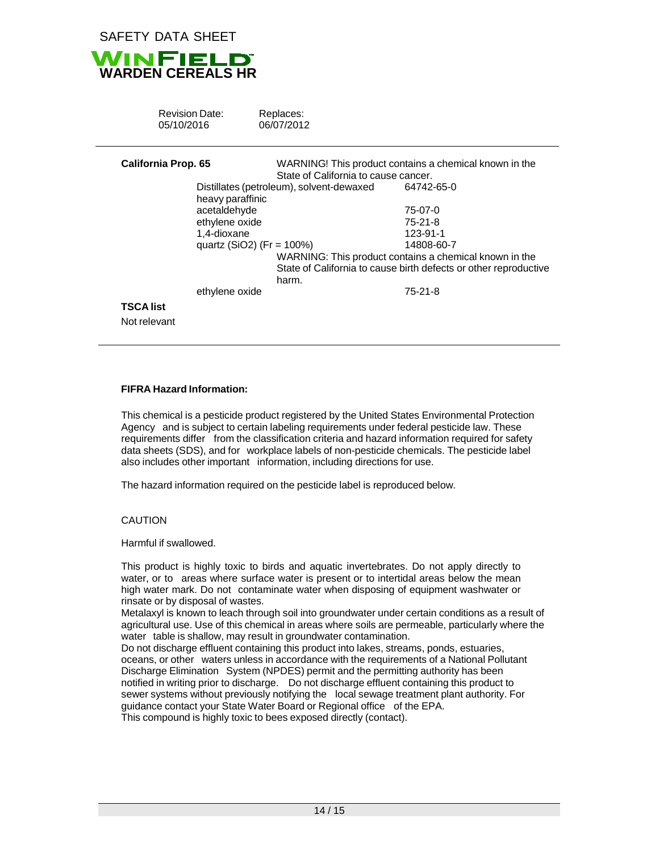

| <b>Revision Date:</b><br>05/10/2016 | Replaces:<br>06/07/2012                  |                                                                  |  |
|-------------------------------------|------------------------------------------|------------------------------------------------------------------|--|
| <b>California Prop. 65</b>          | State of California to cause cancer.     | WARNING! This product contains a chemical known in the           |  |
|                                     |                                          |                                                                  |  |
|                                     | Distillates (petroleum), solvent-dewaxed | 64742-65-0                                                       |  |
| heavy paraffinic                    |                                          |                                                                  |  |
| acetaldehyde                        |                                          | 75-07-0                                                          |  |
| ethylene oxide                      |                                          | 75-21-8                                                          |  |
| 1,4-dioxane                         |                                          | 123-91-1                                                         |  |
|                                     | quartz (SiO2) (Fr = 100%)                | 14808-60-7                                                       |  |
|                                     |                                          | WARNING: This product contains a chemical known in the           |  |
|                                     |                                          | State of California to cause birth defects or other reproductive |  |
|                                     | harm.                                    |                                                                  |  |
| ethylene oxide                      |                                          | $75-21-8$                                                        |  |
|                                     |                                          |                                                                  |  |
| TSCA list                           |                                          |                                                                  |  |
| Not relevant                        |                                          |                                                                  |  |

#### **FIFRA Hazard Information:**

This chemical is a pesticide product registered by the United States Environmental Protection Agency and is subject to certain labeling requirements under federal pesticide law. These requirements differ from the classification criteria and hazard information required for safety data sheets (SDS), and for workplace labels of non-pesticide chemicals. The pesticide label also includes other important information, including directions for use.

The hazard information required on the pesticide label is reproduced below.

#### CAUTION

Harmful if swallowed.

This product is highly toxic to birds and aquatic invertebrates. Do not apply directly to water, or to areas where surface water is present or to intertidal areas below the mean high water mark. Do not contaminate water when disposing of equipment washwater or rinsate or by disposal of wastes.

Metalaxyl is known to leach through soil into groundwater under certain conditions as a result of agricultural use. Use of this chemical in areas where soils are permeable, particularly where the water table is shallow, may result in groundwater contamination.

Do not discharge effluent containing this product into lakes, streams, ponds, estuaries, oceans, or other waters unless in accordance with the requirements of a National Pollutant Discharge Elimination System (NPDES) permit and the permitting authority has been notified in writing prior to discharge. Do not discharge effluent containing this product to sewer systems without previously notifying the local sewage treatment plant authority. For guidance contact your State Water Board or Regional office of the EPA.

This compound is highly toxic to bees exposed directly (contact).